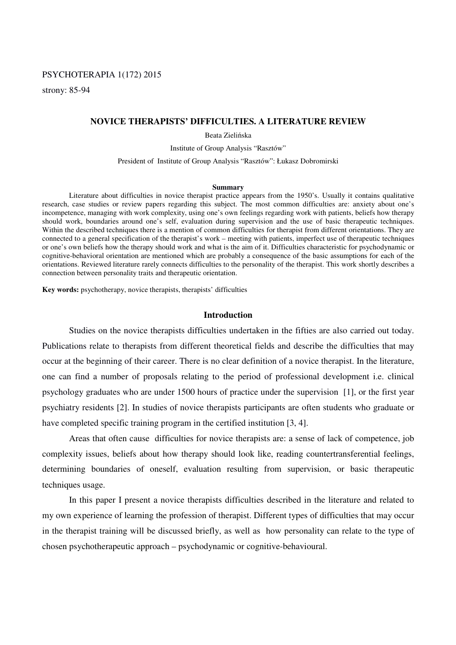## PSYCHOTERAPIA 1(172) 2015

strony: 85-94

#### **NOVICE THERAPISTS' DIFFICULTIES. A LITERATURE REVIEW**

Beata Zielińska

Institute of Group Analysis "Rasztów"

President of Institute of Group Analysis "Rasztów": Łukasz Dobromirski

#### **Summary**

Literature about difficulties in novice therapist practice appears from the 1950's. Usually it contains qualitative research, case studies or review papers regarding this subject. The most common difficulties are: anxiety about one's incompetence, managing with work complexity, using one's own feelings regarding work with patients, beliefs how therapy should work, boundaries around one's self, evaluation during supervision and the use of basic therapeutic techniques. Within the described techniques there is a mention of common difficulties for therapist from different orientations. They are connected to a general specification of the therapist's work – meeting with patients, imperfect use of therapeutic techniques or one's own beliefs how the therapy should work and what is the aim of it. Difficulties characteristic for psychodynamic or cognitive-behavioral orientation are mentioned which are probably a consequence of the basic assumptions for each of the orientations. Reviewed literature rarely connects difficulties to the personality of the therapist. This work shortly describes a connection between personality traits and therapeutic orientation.

**Key words:** psychotherapy, novice therapists, therapists' difficulties

#### **Introduction**

 Studies on the novice therapists difficulties undertaken in the fifties are also carried out today. Publications relate to therapists from different theoretical fields and describe the difficulties that may occur at the beginning of their career. There is no clear definition of a novice therapist. In the literature, one can find a number of proposals relating to the period of professional development i.e. clinical psychology graduates who are under 1500 hours of practice under the supervision [1], or the first year psychiatry residents [2]. In studies of novice therapists participants are often students who graduate or have completed specific training program in the certified institution [3, 4].

 Areas that often cause difficulties for novice therapists are: a sense of lack of competence, job complexity issues, beliefs about how therapy should look like, reading countertransferential feelings, determining boundaries of oneself, evaluation resulting from supervision, or basic therapeutic techniques usage.

 In this paper I present a novice therapists difficulties described in the literature and related to my own experience of learning the profession of therapist. Different types of difficulties that may occur in the therapist training will be discussed briefly, as well as how personality can relate to the type of chosen psychotherapeutic approach – psychodynamic or cognitive-behavioural.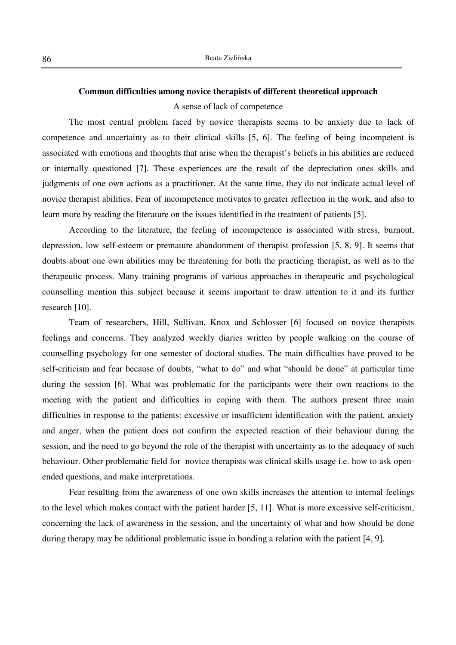#### **Common difficulties among novice therapists of different theoretical approach**

# A sense of lack of competence

 The most central problem faced by novice therapists seems to be anxiety due to lack of competence and uncertainty as to their clinical skills [5, 6]. The feeling of being incompetent is associated with emotions and thoughts that arise when the therapist's beliefs in his abilities are reduced or internally questioned [7]. These experiences are the result of the depreciation ones skills and judgments of one own actions as a practitioner. At the same time, they do not indicate actual level of novice therapist abilities. Fear of incompetence motivates to greater reflection in the work, and also to learn more by reading the literature on the issues identified in the treatment of patients [5].

 According to the literature, the feeling of incompetence is associated with stress, burnout, depression, low self-esteem or premature abandonment of therapist profession [5, 8, 9]. It seems that doubts about one own abilities may be threatening for both the practicing therapist, as well as to the therapeutic process. Many training programs of various approaches in therapeutic and psychological counselling mention this subject because it seems important to draw attention to it and its further research [10].

 Team of researchers, Hill, Sullivan, Knox and Schlosser [6] focused on novice therapists feelings and concerns. They analyzed weekly diaries written by people walking on the course of counselling psychology for one semester of doctoral studies. The main difficulties have proved to be self-criticism and fear because of doubts, "what to do" and what "should be done" at particular time during the session [6]. What was problematic for the participants were their own reactions to the meeting with the patient and difficulties in coping with them. The authors present three main difficulties in response to the patients: excessive or insufficient identification with the patient, anxiety and anger, when the patient does not confirm the expected reaction of their behaviour during the session, and the need to go beyond the role of the therapist with uncertainty as to the adequacy of such behaviour. Other problematic field for novice therapists was clinical skills usage i.e. how to ask openended questions, and make interpretations.

 Fear resulting from the awareness of one own skills increases the attention to internal feelings to the level which makes contact with the patient harder [5, 11]. What is more excessive self-criticism, concerning the lack of awareness in the session, and the uncertainty of what and how should be done during therapy may be additional problematic issue in bonding a relation with the patient [4, 9].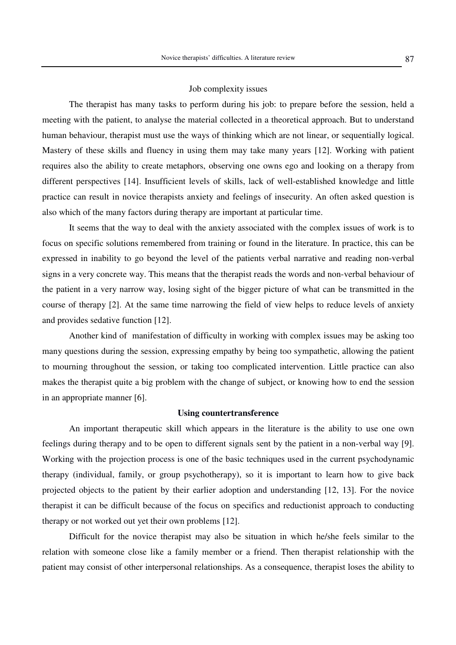#### Job complexity issues

The therapist has many tasks to perform during his job: to prepare before the session, held a meeting with the patient, to analyse the material collected in a theoretical approach. But to understand human behaviour, therapist must use the ways of thinking which are not linear, or sequentially logical. Mastery of these skills and fluency in using them may take many years [12]. Working with patient requires also the ability to create metaphors, observing one owns ego and looking on a therapy from different perspectives [14]. Insufficient levels of skills, lack of well-established knowledge and little practice can result in novice therapists anxiety and feelings of insecurity. An often asked question is also which of the many factors during therapy are important at particular time.

 It seems that the way to deal with the anxiety associated with the complex issues of work is to focus on specific solutions remembered from training or found in the literature. In practice, this can be expressed in inability to go beyond the level of the patients verbal narrative and reading non-verbal signs in a very concrete way. This means that the therapist reads the words and non-verbal behaviour of the patient in a very narrow way, losing sight of the bigger picture of what can be transmitted in the course of therapy [2]. At the same time narrowing the field of view helps to reduce levels of anxiety and provides sedative function [12].

 Another kind of manifestation of difficulty in working with complex issues may be asking too many questions during the session, expressing empathy by being too sympathetic, allowing the patient to mourning throughout the session, or taking too complicated intervention. Little practice can also makes the therapist quite a big problem with the change of subject, or knowing how to end the session in an appropriate manner [6].

#### **Using countertransference**

 An important therapeutic skill which appears in the literature is the ability to use one own feelings during therapy and to be open to different signals sent by the patient in a non-verbal way [9]. Working with the projection process is one of the basic techniques used in the current psychodynamic therapy (individual, family, or group psychotherapy), so it is important to learn how to give back projected objects to the patient by their earlier adoption and understanding [12, 13]. For the novice therapist it can be difficult because of the focus on specifics and reductionist approach to conducting therapy or not worked out yet their own problems [12].

 Difficult for the novice therapist may also be situation in which he/she feels similar to the relation with someone close like a family member or a friend. Then therapist relationship with the patient may consist of other interpersonal relationships. As a consequence, therapist loses the ability to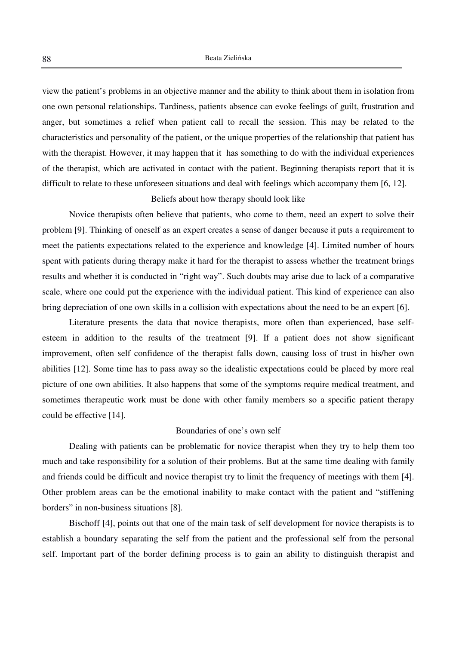view the patient's problems in an objective manner and the ability to think about them in isolation from one own personal relationships. Tardiness, patients absence can evoke feelings of guilt, frustration and anger, but sometimes a relief when patient call to recall the session. This may be related to the characteristics and personality of the patient, or the unique properties of the relationship that patient has with the therapist. However, it may happen that it has something to do with the individual experiences of the therapist, which are activated in contact with the patient. Beginning therapists report that it is difficult to relate to these unforeseen situations and deal with feelings which accompany them [6, 12].

# Beliefs about how therapy should look like

 Novice therapists often believe that patients, who come to them, need an expert to solve their problem [9]. Thinking of oneself as an expert creates a sense of danger because it puts a requirement to meet the patients expectations related to the experience and knowledge [4]. Limited number of hours spent with patients during therapy make it hard for the therapist to assess whether the treatment brings results and whether it is conducted in "right way". Such doubts may arise due to lack of a comparative scale, where one could put the experience with the individual patient. This kind of experience can also bring depreciation of one own skills in a collision with expectations about the need to be an expert [6].

 Literature presents the data that novice therapists, more often than experienced, base selfesteem in addition to the results of the treatment [9]. If a patient does not show significant improvement, often self confidence of the therapist falls down, causing loss of trust in his/her own abilities [12]. Some time has to pass away so the idealistic expectations could be placed by more real picture of one own abilities. It also happens that some of the symptoms require medical treatment, and sometimes therapeutic work must be done with other family members so a specific patient therapy could be effective [14].

## Boundaries of one's own self

 Dealing with patients can be problematic for novice therapist when they try to help them too much and take responsibility for a solution of their problems. But at the same time dealing with family and friends could be difficult and novice therapist try to limit the frequency of meetings with them [4]. Other problem areas can be the emotional inability to make contact with the patient and "stiffening borders" in non-business situations [8].

 Bischoff [4], points out that one of the main task of self development for novice therapists is to establish a boundary separating the self from the patient and the professional self from the personal self. Important part of the border defining process is to gain an ability to distinguish therapist and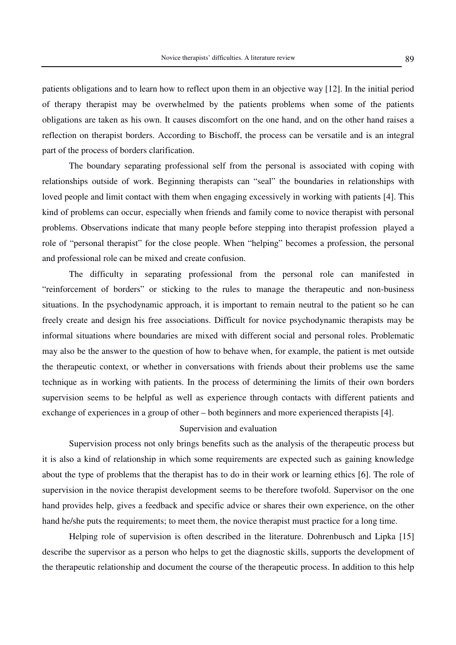patients obligations and to learn how to reflect upon them in an objective way [12]. In the initial period of therapy therapist may be overwhelmed by the patients problems when some of the patients obligations are taken as his own. It causes discomfort on the one hand, and on the other hand raises a reflection on therapist borders. According to Bischoff, the process can be versatile and is an integral part of the process of borders clarification.

 The boundary separating professional self from the personal is associated with coping with relationships outside of work. Beginning therapists can "seal" the boundaries in relationships with loved people and limit contact with them when engaging excessively in working with patients [4]. This kind of problems can occur, especially when friends and family come to novice therapist with personal problems. Observations indicate that many people before stepping into therapist profession played a role of "personal therapist" for the close people. When "helping" becomes a profession, the personal and professional role can be mixed and create confusion.

 The difficulty in separating professional from the personal role can manifested in "reinforcement of borders" or sticking to the rules to manage the therapeutic and non-business situations. In the psychodynamic approach, it is important to remain neutral to the patient so he can freely create and design his free associations. Difficult for novice psychodynamic therapists may be informal situations where boundaries are mixed with different social and personal roles. Problematic may also be the answer to the question of how to behave when, for example, the patient is met outside the therapeutic context, or whether in conversations with friends about their problems use the same technique as in working with patients. In the process of determining the limits of their own borders supervision seems to be helpful as well as experience through contacts with different patients and exchange of experiences in a group of other – both beginners and more experienced therapists [4].

## Supervision and evaluation

 Supervision process not only brings benefits such as the analysis of the therapeutic process but it is also a kind of relationship in which some requirements are expected such as gaining knowledge about the type of problems that the therapist has to do in their work or learning ethics [6]. The role of supervision in the novice therapist development seems to be therefore twofold. Supervisor on the one hand provides help, gives a feedback and specific advice or shares their own experience, on the other hand he/she puts the requirements; to meet them, the novice therapist must practice for a long time.

 Helping role of supervision is often described in the literature. Dohrenbusch and Lipka [15] describe the supervisor as a person who helps to get the diagnostic skills, supports the development of the therapeutic relationship and document the course of the therapeutic process. In addition to this help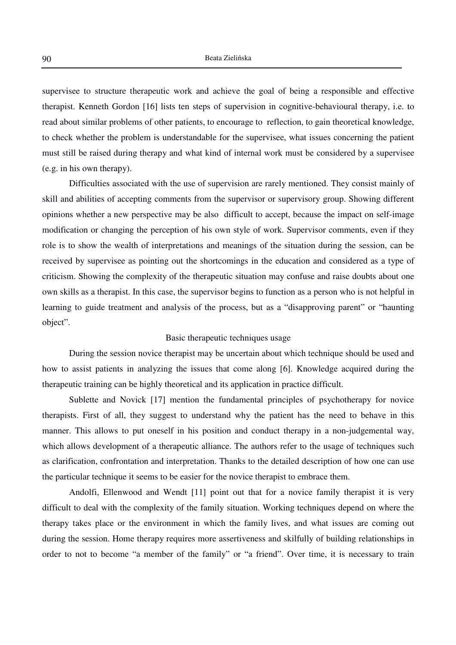supervisee to structure therapeutic work and achieve the goal of being a responsible and effective therapist. Kenneth Gordon [16] lists ten steps of supervision in cognitive-behavioural therapy, i.e. to read about similar problems of other patients, to encourage to reflection, to gain theoretical knowledge, to check whether the problem is understandable for the supervisee, what issues concerning the patient must still be raised during therapy and what kind of internal work must be considered by a supervisee (e.g. in his own therapy).

 Difficulties associated with the use of supervision are rarely mentioned. They consist mainly of skill and abilities of accepting comments from the supervisor or supervisory group. Showing different opinions whether a new perspective may be also difficult to accept, because the impact on self-image modification or changing the perception of his own style of work. Supervisor comments, even if they role is to show the wealth of interpretations and meanings of the situation during the session, can be received by supervisee as pointing out the shortcomings in the education and considered as a type of criticism. Showing the complexity of the therapeutic situation may confuse and raise doubts about one own skills as a therapist. In this case, the supervisor begins to function as a person who is not helpful in learning to guide treatment and analysis of the process, but as a "disapproving parent" or "haunting object".

#### Basic therapeutic techniques usage

 During the session novice therapist may be uncertain about which technique should be used and how to assist patients in analyzing the issues that come along [6]. Knowledge acquired during the therapeutic training can be highly theoretical and its application in practice difficult.

 Sublette and Novick [17] mention the fundamental principles of psychotherapy for novice therapists. First of all, they suggest to understand why the patient has the need to behave in this manner. This allows to put oneself in his position and conduct therapy in a non-judgemental way, which allows development of a therapeutic alliance. The authors refer to the usage of techniques such as clarification, confrontation and interpretation. Thanks to the detailed description of how one can use the particular technique it seems to be easier for the novice therapist to embrace them.

 Andolfi, Ellenwood and Wendt [11] point out that for a novice family therapist it is very difficult to deal with the complexity of the family situation. Working techniques depend on where the therapy takes place or the environment in which the family lives, and what issues are coming out during the session. Home therapy requires more assertiveness and skilfully of building relationships in order to not to become "a member of the family" or "a friend". Over time, it is necessary to train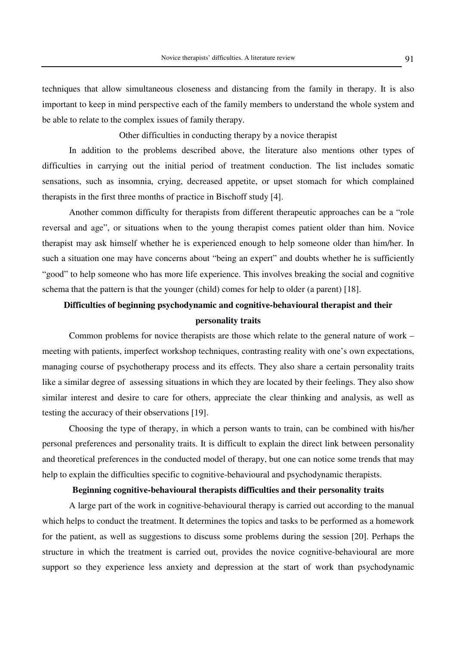techniques that allow simultaneous closeness and distancing from the family in therapy. It is also important to keep in mind perspective each of the family members to understand the whole system and be able to relate to the complex issues of family therapy.

Other difficulties in conducting therapy by a novice therapist

 In addition to the problems described above, the literature also mentions other types of difficulties in carrying out the initial period of treatment conduction. The list includes somatic sensations, such as insomnia, crying, decreased appetite, or upset stomach for which complained therapists in the first three months of practice in Bischoff study [4].

 Another common difficulty for therapists from different therapeutic approaches can be a "role reversal and age", or situations when to the young therapist comes patient older than him. Novice therapist may ask himself whether he is experienced enough to help someone older than him/her. In such a situation one may have concerns about "being an expert" and doubts whether he is sufficiently "good" to help someone who has more life experience. This involves breaking the social and cognitive schema that the pattern is that the younger (child) comes for help to older (a parent) [18].

# **Difficulties of beginning psychodynamic and cognitive-behavioural therapist and their personality traits**

 Common problems for novice therapists are those which relate to the general nature of work – meeting with patients, imperfect workshop techniques, contrasting reality with one's own expectations, managing course of psychotherapy process and its effects. They also share a certain personality traits like a similar degree of assessing situations in which they are located by their feelings. They also show similar interest and desire to care for others, appreciate the clear thinking and analysis, as well as testing the accuracy of their observations [19].

 Choosing the type of therapy, in which a person wants to train, can be combined with his/her personal preferences and personality traits. It is difficult to explain the direct link between personality and theoretical preferences in the conducted model of therapy, but one can notice some trends that may help to explain the difficulties specific to cognitive-behavioural and psychodynamic therapists.

## **Beginning cognitive-behavioural therapists difficulties and their personality traits**

 A large part of the work in cognitive-behavioural therapy is carried out according to the manual which helps to conduct the treatment. It determines the topics and tasks to be performed as a homework for the patient, as well as suggestions to discuss some problems during the session [20]. Perhaps the structure in which the treatment is carried out, provides the novice cognitive-behavioural are more support so they experience less anxiety and depression at the start of work than psychodynamic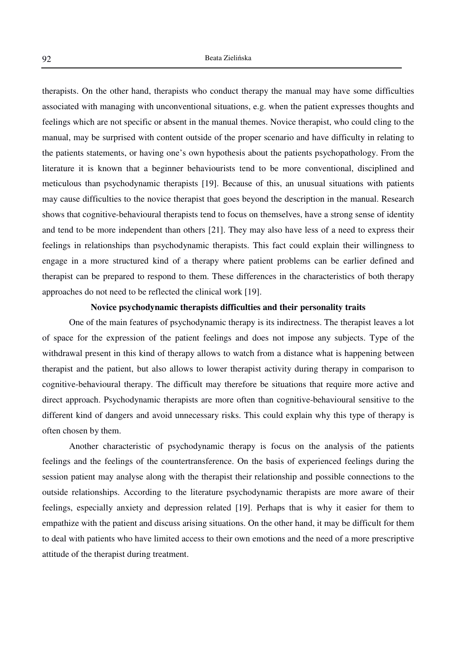therapists. On the other hand, therapists who conduct therapy the manual may have some difficulties associated with managing with unconventional situations, e.g. when the patient expresses thoughts and feelings which are not specific or absent in the manual themes. Novice therapist, who could cling to the manual, may be surprised with content outside of the proper scenario and have difficulty in relating to the patients statements, or having one's own hypothesis about the patients psychopathology. From the literature it is known that a beginner behaviourists tend to be more conventional, disciplined and meticulous than psychodynamic therapists [19]. Because of this, an unusual situations with patients may cause difficulties to the novice therapist that goes beyond the description in the manual. Research shows that cognitive-behavioural therapists tend to focus on themselves, have a strong sense of identity and tend to be more independent than others [21]. They may also have less of a need to express their feelings in relationships than psychodynamic therapists. This fact could explain their willingness to engage in a more structured kind of a therapy where patient problems can be earlier defined and therapist can be prepared to respond to them. These differences in the characteristics of both therapy approaches do not need to be reflected the clinical work [19].

#### **Novice psychodynamic therapists difficulties and their personality traits**

One of the main features of psychodynamic therapy is its indirectness. The therapist leaves a lot of space for the expression of the patient feelings and does not impose any subjects. Type of the withdrawal present in this kind of therapy allows to watch from a distance what is happening between therapist and the patient, but also allows to lower therapist activity during therapy in comparison to cognitive-behavioural therapy. The difficult may therefore be situations that require more active and direct approach. Psychodynamic therapists are more often than cognitive-behavioural sensitive to the different kind of dangers and avoid unnecessary risks. This could explain why this type of therapy is often chosen by them.

 Another characteristic of psychodynamic therapy is focus on the analysis of the patients feelings and the feelings of the countertransference. On the basis of experienced feelings during the session patient may analyse along with the therapist their relationship and possible connections to the outside relationships. According to the literature psychodynamic therapists are more aware of their feelings, especially anxiety and depression related [19]. Perhaps that is why it easier for them to empathize with the patient and discuss arising situations. On the other hand, it may be difficult for them to deal with patients who have limited access to their own emotions and the need of a more prescriptive attitude of the therapist during treatment.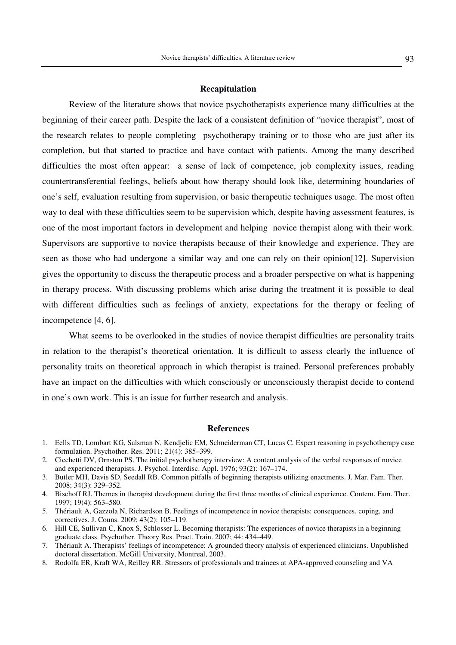#### **Recapitulation**

 Review of the literature shows that novice psychotherapists experience many difficulties at the beginning of their career path. Despite the lack of a consistent definition of "novice therapist", most of the research relates to people completing psychotherapy training or to those who are just after its completion, but that started to practice and have contact with patients. Among the many described difficulties the most often appear: a sense of lack of competence, job complexity issues, reading countertransferential feelings, beliefs about how therapy should look like, determining boundaries of one's self, evaluation resulting from supervision, or basic therapeutic techniques usage. The most often way to deal with these difficulties seem to be supervision which, despite having assessment features, is one of the most important factors in development and helping novice therapist along with their work. Supervisors are supportive to novice therapists because of their knowledge and experience. They are seen as those who had undergone a similar way and one can rely on their opinion[12]. Supervision gives the opportunity to discuss the therapeutic process and a broader perspective on what is happening in therapy process. With discussing problems which arise during the treatment it is possible to deal with different difficulties such as feelings of anxiety, expectations for the therapy or feeling of incompetence [4, 6].

What seems to be overlooked in the studies of novice therapist difficulties are personality traits in relation to the therapist's theoretical orientation. It is difficult to assess clearly the influence of personality traits on theoretical approach in which therapist is trained. Personal preferences probably have an impact on the difficulties with which consciously or unconsciously therapist decide to contend in one's own work. This is an issue for further research and analysis.

#### **References**

- 1. Eells TD, Lombart KG, Salsman N, Kendjelic EM, Schneiderman CT, Lucas C. Expert reasoning in psychotherapy case formulation. Psychother. Res. 2011; 21(4): 385–399.
- 2. Cicchetti DV, Ornston PS. The initial psychotherapy interview: A content analysis of the verbal responses of novice and experienced therapists. J. Psychol. Interdisc. Appl. 1976; 93(2): 167–174.
- 3. Butler MH, Davis SD, Seedall RB. Common pitfalls of beginning therapists utilizing enactments. J. Mar. Fam. Ther. 2008; 34(3): 329–352.
- 4. Bischoff RJ. Themes in therapist development during the first three months of clinical experience. Contem. Fam. Ther. 1997; 19(4): 563–580.
- 5. Thériault A, Gazzola N, Richardson B. Feelings of incompetence in novice therapists: consequences, coping, and correctives. J. Couns. 2009; 43(2): 105–119.
- 6. Hill CE, Sullivan C, Knox S, Schlosser L. Becoming therapists: The experiences of novice therapists in a beginning graduate class. Psychother. Theory Res. Pract. Train. 2007; 44: 434–449.
- 7. Thériault A. Therapists' feelings of incompetence: A grounded theory analysis of experienced clinicians. Unpublished doctoral dissertation. McGill University, Montreal, 2003.
- 8. Rodolfa ER, Kraft WA, Reilley RR. Stressors of professionals and trainees at APA-approved counseling and VA